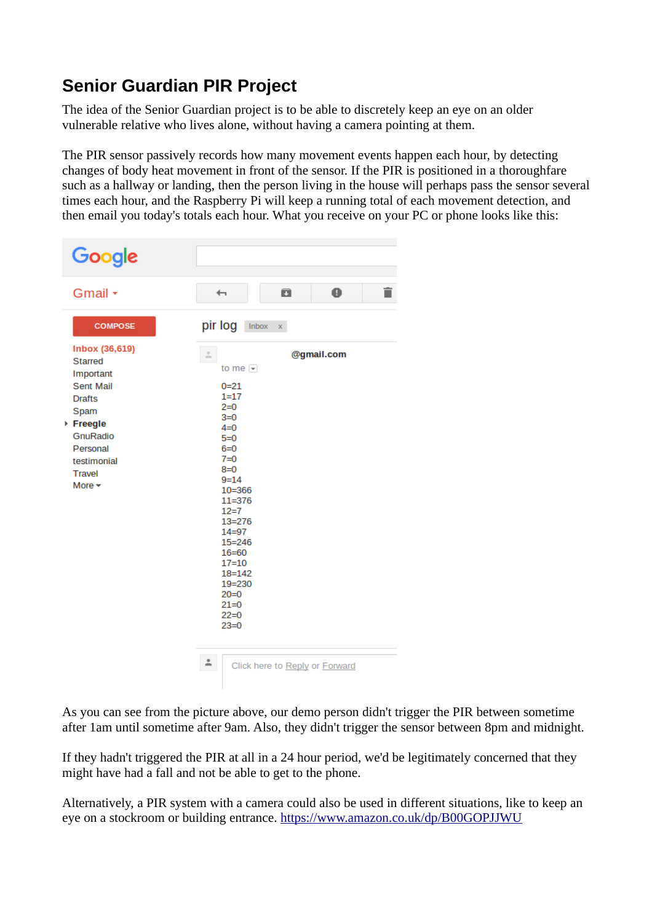# **Senior Guardian PIR Project**

The idea of the Senior Guardian project is to be able to discretely keep an eye on an older vulnerable relative who lives alone, without having a camera pointing at them.

The PIR sensor passively records how many movement events happen each hour, by detecting changes of body heat movement in front of the sensor. If the PIR is positioned in a thoroughfare such as a hallway or landing, then the person living in the house will perhaps pass the sensor several times each hour, and the Raspberry Pi will keep a running total of each movement detection, and then email you today's totals each hour. What you receive on your PC or phone looks like this:

| Google                                                                                                                                                                              |                                                                                                                                                                                                                                       |                                                                                                                                                                  |                                              |  |
|-------------------------------------------------------------------------------------------------------------------------------------------------------------------------------------|---------------------------------------------------------------------------------------------------------------------------------------------------------------------------------------------------------------------------------------|------------------------------------------------------------------------------------------------------------------------------------------------------------------|----------------------------------------------|--|
| Gmail +                                                                                                                                                                             | $\overline{\phantom{0}}$                                                                                                                                                                                                              | Ω                                                                                                                                                                | $\bullet$                                    |  |
| <b>COMPOSE</b><br>Inbox (36,619)<br><b>Starred</b><br>Important<br>Sent Mail<br><b>Drafts</b><br>Spam<br>▶ Freegle<br>GnuRadio<br>Personal<br>testimonial<br>Travel<br>More $\star$ | pir log<br>$\stackrel{\scriptscriptstyle{0}}{=}$<br>$0 = 21$<br>$1 = 17$<br>$2=0$<br>$3=0$<br>$4 = 0$<br>$5=0$<br>$6=0$<br>$7 = 0$<br>$8=0$<br>$9 = 14$<br>$12=7$<br>$20=0$<br>$21=0$<br>$22=0$<br>$23=0$<br>$\stackrel{\circ}{\neg}$ | lnbox x<br>to me $\vert \mathbf{v} \vert$<br>$10 = 366$<br>$11 = 376$<br>$13 = 276$<br>$14 = 97$<br>$15 = 246$<br>$16 = 60$<br>$17 = 10$<br>$18 = 142$<br>19=230 | @gmail.com<br>Click here to Reply or Forward |  |
|                                                                                                                                                                                     |                                                                                                                                                                                                                                       |                                                                                                                                                                  |                                              |  |

As you can see from the picture above, our demo person didn't trigger the PIR between sometime after 1am until sometime after 9am. Also, they didn't trigger the sensor between 8pm and midnight.

If they hadn't triggered the PIR at all in a 24 hour period, we'd be legitimately concerned that they might have had a fall and not be able to get to the phone.

Alternatively, a PIR system with a camera could also be used in different situations, like to keep an eye on a stockroom or building entrance.<https://www.amazon.co.uk/dp/B00GOPJJWU>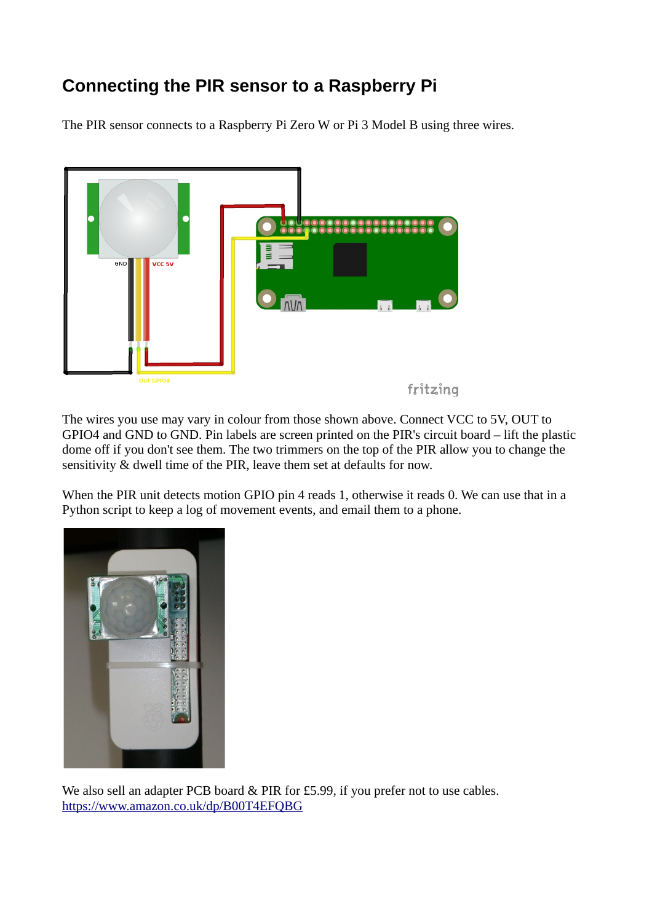# **Connecting the PIR sensor to a Raspberry Pi**

The PIR sensor connects to a Raspberry Pi Zero W or Pi 3 Model B using three wires.



The wires you use may vary in colour from those shown above. Connect VCC to 5V, OUT to GPIO4 and GND to GND. Pin labels are screen printed on the PIR's circuit board – lift the plastic dome off if you don't see them. The two trimmers on the top of the PIR allow you to change the sensitivity & dwell time of the PIR, leave them set at defaults for now.

When the PIR unit detects motion GPIO pin 4 reads 1, otherwise it reads 0. We can use that in a Python script to keep a log of movement events, and email them to a phone.



We also sell an adapter PCB board & PIR for £5.99, if you prefer not to use cables. <https://www.amazon.co.uk/dp/B00T4EFQBG>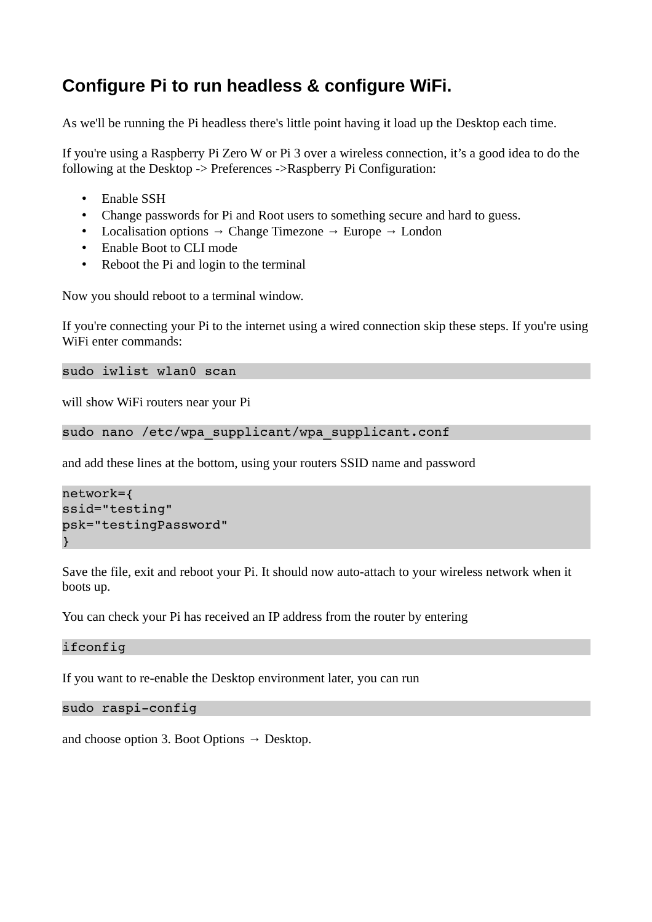# **Configure Pi to run headless & configure WiFi.**

As we'll be running the Pi headless there's little point having it load up the Desktop each time.

If you're using a Raspberry Pi Zero W or Pi 3 over a wireless connection, it's a good idea to do the following at the Desktop -> Preferences ->Raspberry Pi Configuration:

- Enable SSH
- Change passwords for Pi and Root users to something secure and hard to guess.
- Localisation options  $\rightarrow$  Change Timezone  $\rightarrow$  Europe  $\rightarrow$  London
- Enable Boot to CLI mode
- Reboot the Pi and login to the terminal

Now you should reboot to a terminal window.

If you're connecting your Pi to the internet using a wired connection skip these steps. If you're using WiFi enter commands:

sudo iwlist wlan0 scan

will show WiFi routers near your Pi

```
sudo nano /etc/wpa supplicant/wpa supplicant.conf
```
and add these lines at the bottom, using your routers SSID name and password

```
network={
ssid="testing"
psk="testingPassword"
}
```
Save the file, exit and reboot your Pi. It should now auto-attach to your wireless network when it boots up.

You can check your Pi has received an IP address from the router by entering

ifconfig

If you want to re-enable the Desktop environment later, you can run

```
sudo raspi-config
```
and choose option 3. Boot Options  $\rightarrow$  Desktop.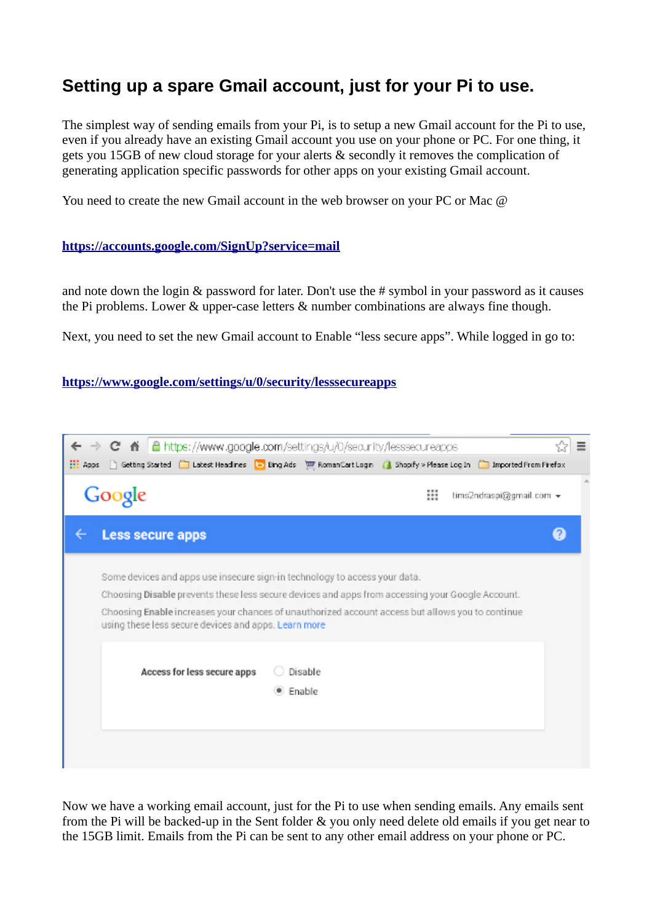## **Setting up a spare Gmail account, just for your Pi to use.**

The simplest way of sending emails from your Pi, is to setup a new Gmail account for the Pi to use, even if you already have an existing Gmail account you use on your phone or PC. For one thing, it gets you 15GB of new cloud storage for your alerts & secondly it removes the complication of generating application specific passwords for other apps on your existing Gmail account.

You need to create the new Gmail account in the web browser on your PC or Mac @

#### **<https://accounts.google.com/SignUp?service=mail>**

and note down the login & password for later. Don't use the # symbol in your password as it causes the Pi problems. Lower & upper-case letters & number combinations are always fine though.

Next, you need to set the new Gmail account to Enable "less secure apps". While logged in go to:

**<https://www.google.com/settings/u/0/security/lesssecureapps>**

| C A   a https://www.google.com/settings/u/0/security/lesssecureapps        |                                                                                                                          | Ξ |
|----------------------------------------------------------------------------|--------------------------------------------------------------------------------------------------------------------------|---|
| <b>HE Apps</b>                                                             | Getting Started Collacet Headines Collang Ads [10] RomanCart Login Coll Shopify > Please Login Collinported From Firefox |   |
| Google                                                                     | ₩<br>tims2ndraspi@gmail.com →                                                                                            |   |
| <b>Less secure apps</b>                                                    |                                                                                                                          | Q |
| Some devices and apps use insecure sign-in technology to access your data. |                                                                                                                          |   |
|                                                                            | Choosing Disable prevents these less secure devices and apps from accessing your Google Account.                         |   |
| using these less secure devices and apps. Learn more                       | Choosing Enable increases your chances of unauthorized account access but allows you to continue                         |   |
| Access for less secure apps                                                | Disable                                                                                                                  |   |
|                                                                            | · Enable                                                                                                                 |   |
|                                                                            |                                                                                                                          |   |
|                                                                            |                                                                                                                          |   |

Now we have a working email account, just for the Pi to use when sending emails. Any emails sent from the Pi will be backed-up in the Sent folder & you only need delete old emails if you get near to the 15GB limit. Emails from the Pi can be sent to any other email address on your phone or PC.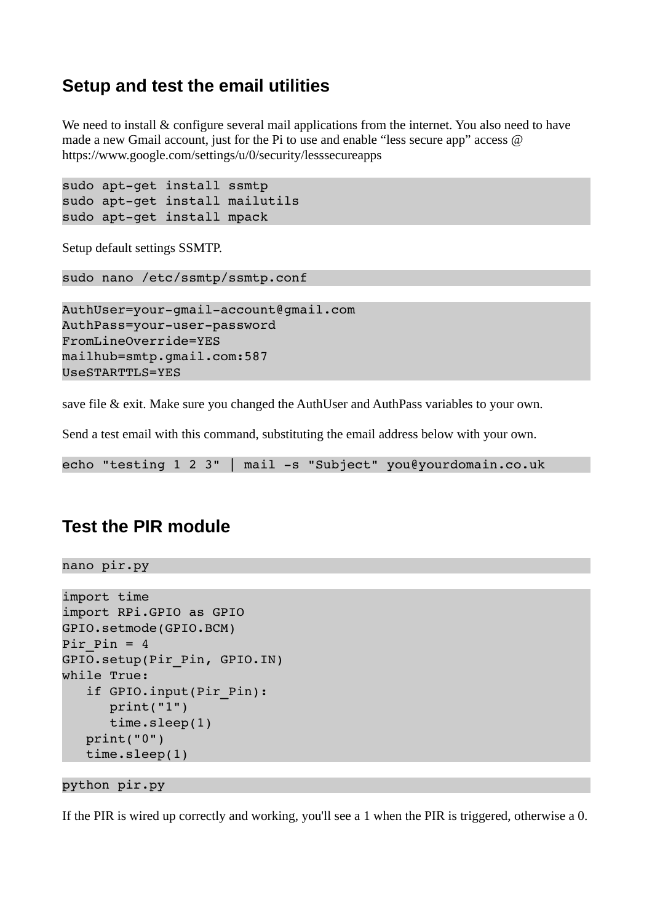### **Setup and test the email utilities**

We need to install & configure several mail applications from the internet. You also need to have made a new Gmail account, just for the Pi to use and enable "less secure app" access  $\omega$ https://www.google.com/settings/u/0/security/lesssecureapps

```
sudo apt-get install ssmtp
sudo apt-get install mailutils
sudo apt-get install mpack
```
Setup default settings SSMTP.

```
sudo nano /etc/ssmtp/ssmtp.conf
```

```
AuthUser=your-qmail-account@qmail.com
AuthPass=your-user-password
FromLineOverride=YES
mailhub=smtp.gmail.com:587
UseSTARTTLS=YES
```
save file & exit. Make sure you changed the AuthUser and AuthPass variables to your own.

Send a test email with this command, substituting the email address below with your own.

echo "testing  $1 \ 2 \ 3$ " | mail -s "Subject" you@yourdomain.co.uk

#### **Test the PIR module**

```
nano pir.py
```

```
import time
import RPi.GPIO as GPIO
GPIO.setmode(GPIO.BCM)
Pir Pin = 4GPIO.setup(Pir_Pin, GPIO.IN)
while True:
      if GPIO.input(Pir_Pin):
             print("1")
             time.sleep(1)
      print("0")
      time.sleep(1)
```

```
python pir.py
```
If the PIR is wired up correctly and working, you'll see a 1 when the PIR is triggered, otherwise a 0.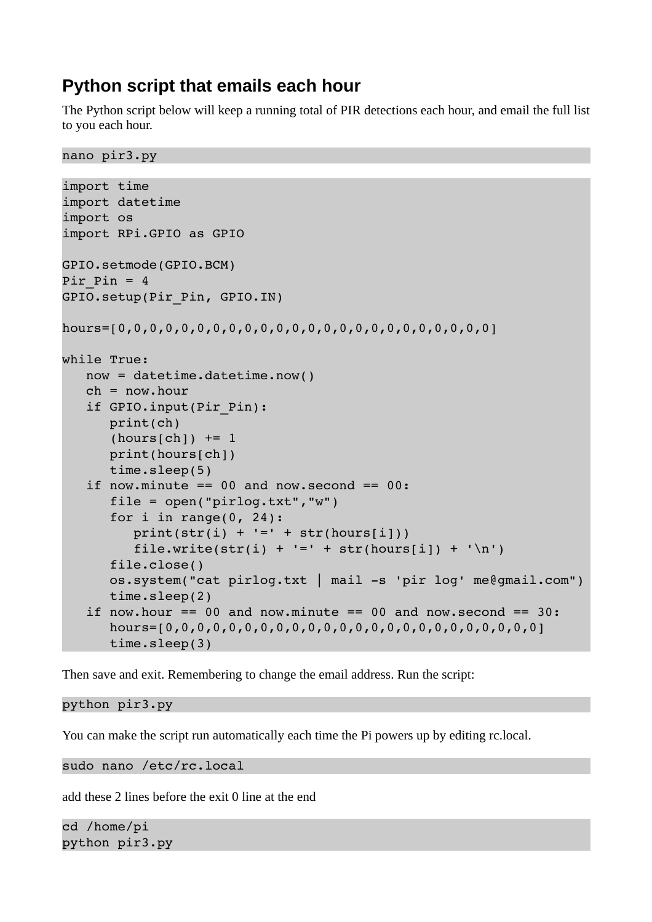# **Python script that emails each hour**

The Python script below will keep a running total of PIR detections each hour, and email the full list to you each hour.

```
nano pir3.py
```

```
import time
import datetime
import os
import RPi.GPIO as GPIO
GPIO.setmode(GPIO.BCM)
Pir Pin = 4GPIO.setup(Pir_Pin, GPIO.IN)
hours=[0,0,0,0,0,0,0,0,0,0,0,0,0,0,0,0,0,0,0,0,0,0,0,0]
while True:
      now = datetime.datetime.now()
   ch = now-hour   if GPIO.input(Pir_Pin):
            print(ch)
      (hours[ch]) += 1      print(hours[ch])
            time.sleep(5)
   if now.minute == 00 and now.second == 00:
      file = open("pirlog.txt", "w")for i in range(0, 24):
         print(str(i) + !=' + str(hours[i]))file.write(str(i) + '=' + str(hours[i]) + '\n')
            file.close()
      os.system("cat pirlog.txt | mail -s 'pir log' me@gmail.com")
            time.sleep(2)
   if now.hour == 00 and now.minute == 00 and now.second == 30:
            hours=[0,0,0,0,0,0,0,0,0,0,0,0,0,0,0,0,0,0,0,0,0,0,0,0]
            time.sleep(3)
```
Then save and exit. Remembering to change the email address. Run the script:

python pir3.py

You can make the script run automatically each time the Pi powers up by editing rc.local.

sudo nano /etc/rc.local

add these 2 lines before the exit 0 line at the end

cd /home/pi python pir3.py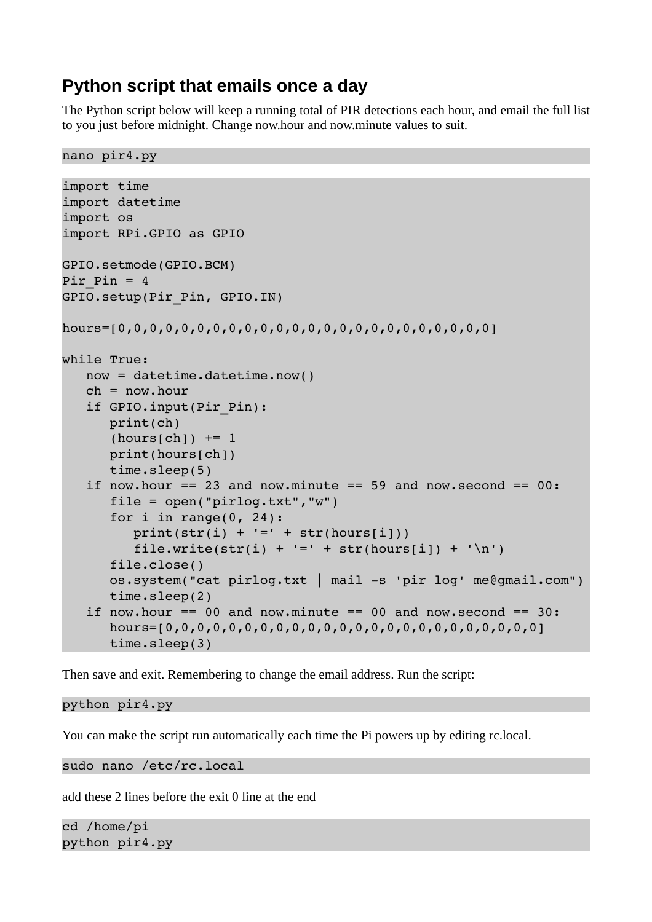# **Python script that emails once a day**

The Python script below will keep a running total of PIR detections each hour, and email the full list to you just before midnight. Change now.hour and now.minute values to suit.

```
nano pir4.py
```

```
import time
import datetime
import os
import RPi.GPIO as GPIO
GPIO.setmode(GPIO.BCM)
Pir Pin = 4GPIO.setup(Pir_Pin, GPIO.IN)
hours=[0,0,0,0,0,0,0,0,0,0,0,0,0,0,0,0,0,0,0,0,0,0,0,0]
while True:
      now = datetime.datetime.now()
   ch = now-hour   if GPIO.input(Pir_Pin):
            print(ch)
      (hours[ch]) += 1      print(hours[ch])
            time.sleep(5)
   if now.hour == 23 and now.minute == 59 and now.second == 00:file = open("pirlog.txt", "w")for i in range(0, 24):
         print(str(i) + '=' + str(hours[i]))file.write(str(i) + '=' + str(hours[i]) + '\n')
            file.close()
      os.system("cat pirlog.txt | mail -s 'pir log' me@gmail.com")
            time.sleep(2)
   if now.hour == 00 and now.minute == 00 and now.second == 30:
            hours=[0,0,0,0,0,0,0,0,0,0,0,0,0,0,0,0,0,0,0,0,0,0,0,0]
            time.sleep(3)
```
Then save and exit. Remembering to change the email address. Run the script:

python pir4.py

You can make the script run automatically each time the Pi powers up by editing rc.local.

sudo nano /etc/rc.local

add these 2 lines before the exit 0 line at the end

cd /home/pi python pir4.py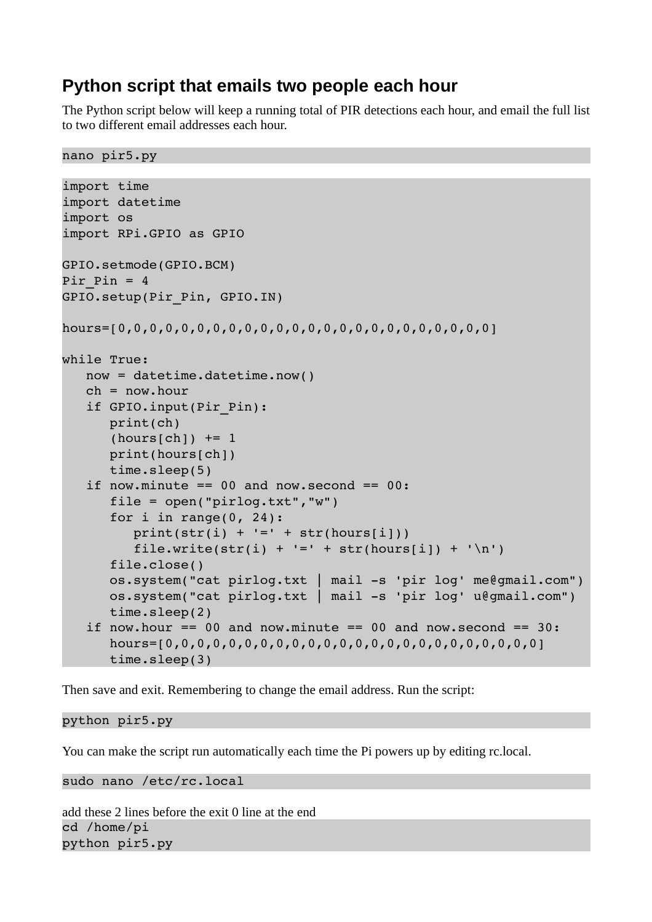## **Python script that emails two people each hour**

The Python script below will keep a running total of PIR detections each hour, and email the full list to two different email addresses each hour.

```
nano pir5.py
```

```
import time
import datetime
import os
import RPi.GPIO as GPIO
GPIO.setmode(GPIO.BCM)
Pir Pin = 4GPIO.setup(Pir_Pin, GPIO.IN)
hours=[0,0,0,0,0,0,0,0,0,0,0,0,0,0,0,0,0,0,0,0,0,0,0,0]
while True:
      now = datetime.datetime.now()
   ch = now-hour   if GPIO.input(Pir_Pin):
            print(ch)
      (hours[ch]) += 1      print(hours[ch])
            time.sleep(5)
   if now.minute == 00 and now.second == 00:
            file = open("pirlog.txt","w")
      for i in range(0, 24):
         print(str(i) + '=' + str(hours[i]))file.write(str(i) + '=' + str(hours[i]) + '\n')
            file.close()
      os.system("cat pirlog.txt | mail -s 'pir log' me@gmail.com")
      os.system("cat pirlog.txt | mail -s 'pir log' u@gmail.com")
            time.sleep(2)
   if now.hour == 00 and now.minute == 00 and now.second == 30:
            hours=[0,0,0,0,0,0,0,0,0,0,0,0,0,0,0,0,0,0,0,0,0,0,0,0]
            time.sleep(3)
```
Then save and exit. Remembering to change the email address. Run the script:

python pir5.py

You can make the script run automatically each time the Pi powers up by editing rc.local.

sudo nano /etc/rc.local

add these 2 lines before the exit 0 line at the end cd /home/pi python pir5.py